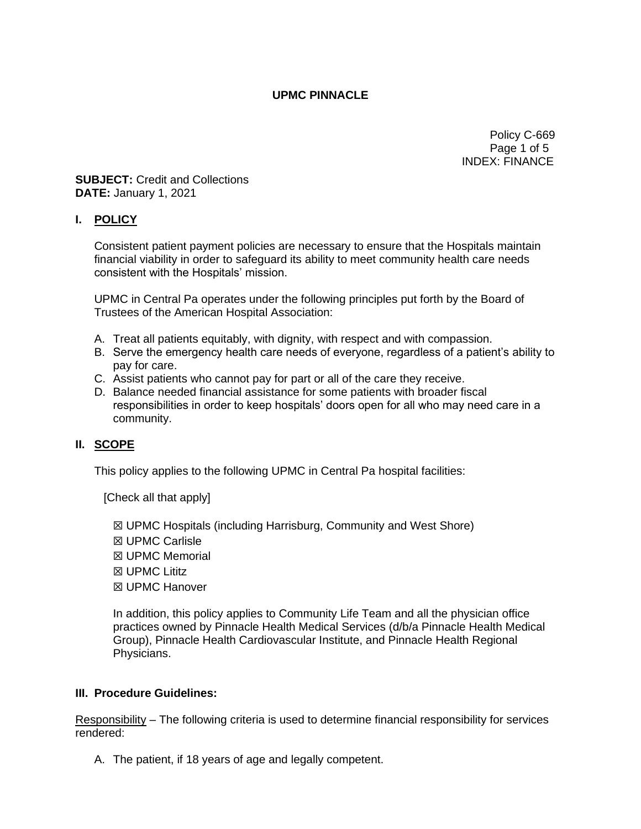## **UPMC PINNACLE**

Policy C-669 Page 1 of 5 INDEX: FINANCE

**SUBJECT:** Credit and Collections **DATE:** January 1, 2021

## **I. POLICY**

Consistent patient payment policies are necessary to ensure that the Hospitals maintain financial viability in order to safeguard its ability to meet community health care needs consistent with the Hospitals' mission.

UPMC in Central Pa operates under the following principles put forth by the Board of Trustees of the American Hospital Association:

- A. Treat all patients equitably, with dignity, with respect and with compassion.
- B. Serve the emergency health care needs of everyone, regardless of a patient's ability to pay for care.
- C. Assist patients who cannot pay for part or all of the care they receive.
- D. Balance needed financial assistance for some patients with broader fiscal responsibilities in order to keep hospitals' doors open for all who may need care in a community.

## **II. SCOPE**

This policy applies to the following UPMC in Central Pa hospital facilities:

[Check all that apply]

- ☒ UPMC Hospitals (including Harrisburg, Community and West Shore)
- ☒ UPMC Carlisle
- ☒ UPMC Memorial
- ☒ UPMC Lititz
- ☒ UPMC Hanover

In addition, this policy applies to Community Life Team and all the physician office practices owned by Pinnacle Health Medical Services (d/b/a Pinnacle Health Medical Group), Pinnacle Health Cardiovascular Institute, and Pinnacle Health Regional Physicians.

## **III. Procedure Guidelines:**

Responsibility – The following criteria is used to determine financial responsibility for services rendered:

A. The patient, if 18 years of age and legally competent.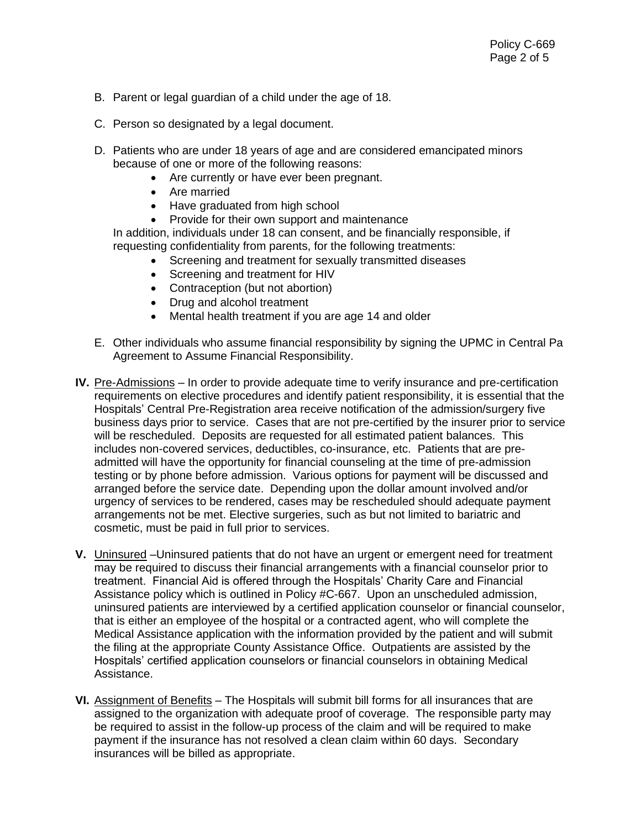- B. Parent or legal guardian of a child under the age of 18.
- C. Person so designated by a legal document.
- D. Patients who are under 18 years of age and are considered emancipated minors because of one or more of the following reasons:
	- Are currently or have ever been pregnant.
	- Are married
	- Have graduated from high school
	- Provide for their own support and maintenance

In addition, individuals under 18 can consent, and be financially responsible, if requesting confidentiality from parents, for the following treatments:

- Screening and treatment for sexually transmitted diseases
- Screening and treatment for HIV
- Contraception (but not abortion)
- Drug and alcohol treatment
- Mental health treatment if you are age 14 and older
- E. Other individuals who assume financial responsibility by signing the UPMC in Central Pa Agreement to Assume Financial Responsibility.
- **IV.** Pre-Admissions In order to provide adequate time to verify insurance and pre-certification requirements on elective procedures and identify patient responsibility, it is essential that the Hospitals' Central Pre-Registration area receive notification of the admission/surgery five business days prior to service. Cases that are not pre-certified by the insurer prior to service will be rescheduled. Deposits are requested for all estimated patient balances. This includes non-covered services, deductibles, co-insurance, etc. Patients that are preadmitted will have the opportunity for financial counseling at the time of pre-admission testing or by phone before admission. Various options for payment will be discussed and arranged before the service date. Depending upon the dollar amount involved and/or urgency of services to be rendered, cases may be rescheduled should adequate payment arrangements not be met. Elective surgeries, such as but not limited to bariatric and cosmetic, must be paid in full prior to services.
- **V.** Uninsured –Uninsured patients that do not have an urgent or emergent need for treatment may be required to discuss their financial arrangements with a financial counselor prior to treatment. Financial Aid is offered through the Hospitals' Charity Care and Financial Assistance policy which is outlined in Policy #C-667. Upon an unscheduled admission, uninsured patients are interviewed by a certified application counselor or financial counselor, that is either an employee of the hospital or a contracted agent, who will complete the Medical Assistance application with the information provided by the patient and will submit the filing at the appropriate County Assistance Office. Outpatients are assisted by the Hospitals' certified application counselors or financial counselors in obtaining Medical Assistance.
- **VI.** Assignment of Benefits The Hospitals will submit bill forms for all insurances that are assigned to the organization with adequate proof of coverage. The responsible party may be required to assist in the follow-up process of the claim and will be required to make payment if the insurance has not resolved a clean claim within 60 days. Secondary insurances will be billed as appropriate.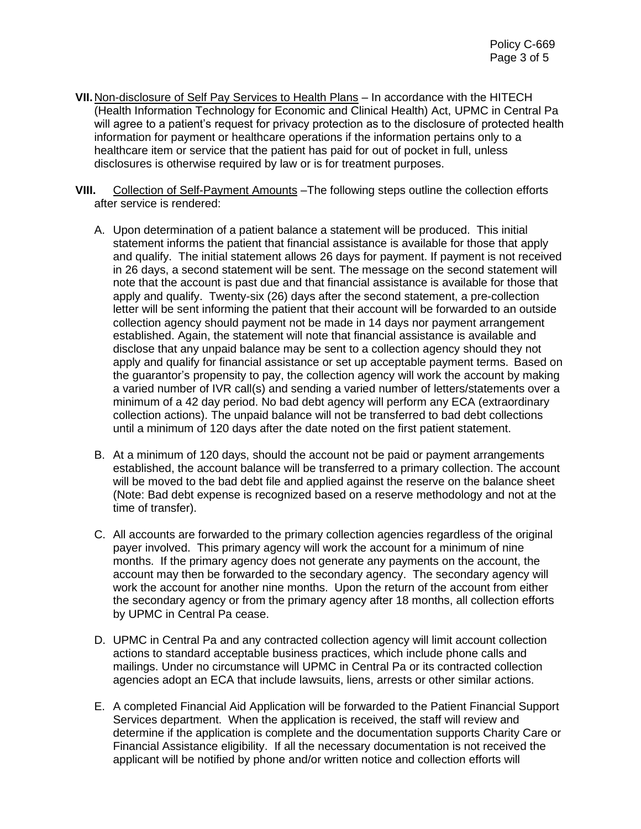- **VII.**Non-disclosure of Self Pay Services to Health Plans In accordance with the HITECH (Health Information Technology for Economic and Clinical Health) Act, UPMC in Central Pa will agree to a patient's request for privacy protection as to the disclosure of protected health information for payment or healthcare operations if the information pertains only to a healthcare item or service that the patient has paid for out of pocket in full, unless disclosures is otherwise required by law or is for treatment purposes.
- VIII. Collection of Self-Payment Amounts The following steps outline the collection efforts after service is rendered:
	- A. Upon determination of a patient balance a statement will be produced. This initial statement informs the patient that financial assistance is available for those that apply and qualify. The initial statement allows 26 days for payment. If payment is not received in 26 days, a second statement will be sent. The message on the second statement will note that the account is past due and that financial assistance is available for those that apply and qualify. Twenty-six (26) days after the second statement, a pre-collection letter will be sent informing the patient that their account will be forwarded to an outside collection agency should payment not be made in 14 days nor payment arrangement established. Again, the statement will note that financial assistance is available and disclose that any unpaid balance may be sent to a collection agency should they not apply and qualify for financial assistance or set up acceptable payment terms. Based on the guarantor's propensity to pay, the collection agency will work the account by making a varied number of IVR call(s) and sending a varied number of letters/statements over a minimum of a 42 day period. No bad debt agency will perform any ECA (extraordinary collection actions). The unpaid balance will not be transferred to bad debt collections until a minimum of 120 days after the date noted on the first patient statement.
	- B. At a minimum of 120 days, should the account not be paid or payment arrangements established, the account balance will be transferred to a primary collection. The account will be moved to the bad debt file and applied against the reserve on the balance sheet (Note: Bad debt expense is recognized based on a reserve methodology and not at the time of transfer).
	- C. All accounts are forwarded to the primary collection agencies regardless of the original payer involved. This primary agency will work the account for a minimum of nine months. If the primary agency does not generate any payments on the account, the account may then be forwarded to the secondary agency. The secondary agency will work the account for another nine months. Upon the return of the account from either the secondary agency or from the primary agency after 18 months, all collection efforts by UPMC in Central Pa cease.
	- D. UPMC in Central Pa and any contracted collection agency will limit account collection actions to standard acceptable business practices, which include phone calls and mailings. Under no circumstance will UPMC in Central Pa or its contracted collection agencies adopt an ECA that include lawsuits, liens, arrests or other similar actions.
	- E. A completed Financial Aid Application will be forwarded to the Patient Financial Support Services department. When the application is received, the staff will review and determine if the application is complete and the documentation supports Charity Care or Financial Assistance eligibility. If all the necessary documentation is not received the applicant will be notified by phone and/or written notice and collection efforts will